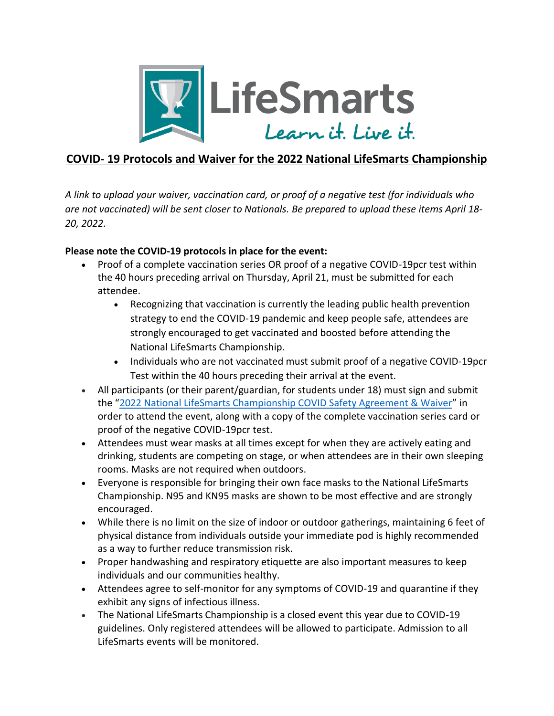

## **COVID- 19 Protocols and Waiver for the 2022 National LifeSmarts Championship**

*A link to upload your waiver, vaccination card, or proof of a negative test (for individuals who are not vaccinated) will be sent closer to Nationals. Be prepared to upload these items April 18- 20, 2022.*

## **Please note the COVID-19 protocols in place for the event:**

- Proof of a complete vaccination series OR proof of a negative COVID-19pcr test within the 40 hours preceding arrival on Thursday, April 21, must be submitted for each attendee.
	- Recognizing that vaccination is currently the leading public health prevention strategy to end the COVID-19 pandemic and keep people safe, attendees are strongly encouraged to get vaccinated and boosted before attending the National LifeSmarts Championship.
	- Individuals who are not vaccinated must submit proof of a negative COVID-19pcr Test within the 40 hours preceding their arrival at the event.
- All participants (or their parent/guardian, for students under 18) must sign and submit the "[2022 National LifeSmarts Championship COVID Safety Agreement & Waiver](https://lifesmarts.org/wp-content/uploads/2022/02/LifeSmarts-2022-Covid-Waiver.pdf)" in order to attend the event, along with a copy of the complete vaccination series card or proof of the negative COVID-19pcr test.
- Attendees must wear masks at all times except for when they are actively eating and drinking, students are competing on stage, or when attendees are in their own sleeping rooms. Masks are not required when outdoors.
- Everyone is responsible for bringing their own face masks to the National LifeSmarts Championship. N95 and KN95 masks are shown to be most effective and are strongly encouraged.
- While there is no limit on the size of indoor or outdoor gatherings, maintaining 6 feet of physical distance from individuals outside your immediate pod is highly recommended as a way to further reduce transmission risk.
- Proper handwashing and respiratory etiquette are also important measures to keep individuals and our communities healthy.
- Attendees agree to self-monitor for any symptoms of COVID-19 and quarantine if they exhibit any signs of infectious illness.
- The National LifeSmarts Championship is a closed event this year due to COVID-19 guidelines. Only registered attendees will be allowed to participate. Admission to all LifeSmarts events will be monitored.